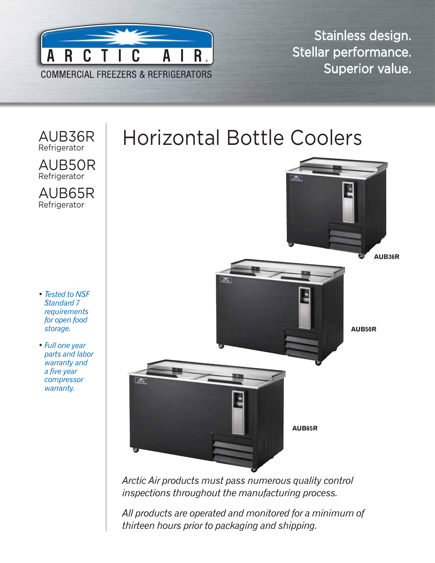

Stainless design. Stellar performance. Superior value.

**AUB36R**

**AUB50R**



*Arctic Air products must pass numerous quality control inspections throughout the manufacturing process.* 

*All products are operated and monitored for a minimum of thirteen hours prior to packaging and shipping.*

**AUB65R**

## Horizontal Bottle Coolers